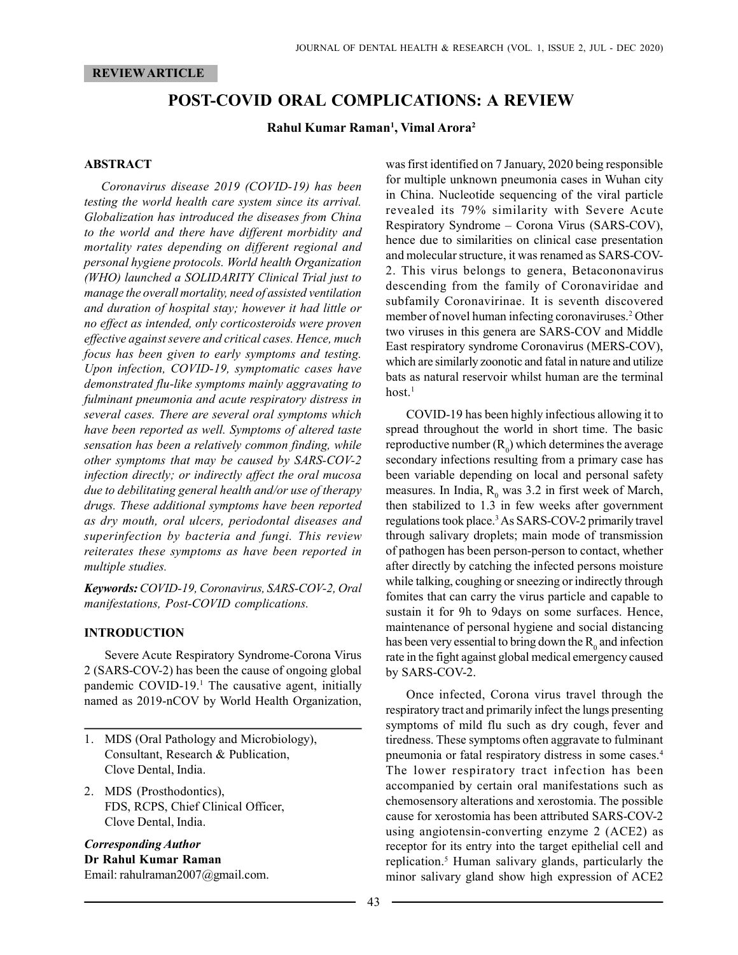#### REVIEW ARTICLE

# POST-COVID ORAL COMPLICATIONS: A REVIEW

#### Rahul Kumar Raman<sup>1</sup>, Vimal Arora<sup>2</sup>

#### ABSTRACT

Coronavirus disease 2019 (COVID-19) has been testing the world health care system since its arrival. Globalization has introduced the diseases from China to the world and there have different morbidity and mortality rates depending on different regional and personal hygiene protocols. World health Organization (WHO) launched a SOLIDARITY Clinical Trial just to manage the overall mortality, need of assisted ventilation and duration of hospital stay; however it had little or no effect as intended, only corticosteroids were proven effective against severe and critical cases. Hence, much focus has been given to early symptoms and testing. Upon infection, COVID-19, symptomatic cases have demonstrated flu-like symptoms mainly aggravating to fulminant pneumonia and acute respiratory distress in several cases. There are several oral symptoms which have been reported as well. Symptoms of altered taste sensation has been a relatively common finding, while other symptoms that may be caused by SARS-COV-2 infection directly; or indirectly affect the oral mucosa due to debilitating general health and/or use of therapy drugs. These additional symptoms have been reported as dry mouth, oral ulcers, periodontal diseases and superinfection by bacteria and fungi. This review reiterates these symptoms as have been reported in multiple studies.

Keywords: COVID-19, Coronavirus, SARS-COV-2, Oral manifestations, Post-COVID complications.

## INTRODUCTION

Severe Acute Respiratory Syndrome-Corona Virus 2 (SARS-COV-2) has been the cause of ongoing global pandemic COVID-19.<sup>1</sup> The causative agent, initially named as 2019-nCOV by World Health Organization,

- 1. MDS (Oral Pathology and Microbiology), Consultant, Research & Publication, Clove Dental, India.
- 2. MDS (Prosthodontics), FDS, RCPS, Chief Clinical Officer, Clove Dental, India.

## Corresponding Author Dr Rahul Kumar Raman Email: rahulraman2007@gmail.com.

was first identified on 7 January, 2020 being responsible for multiple unknown pneumonia cases in Wuhan city in China. Nucleotide sequencing of the viral particle revealed its 79% similarity with Severe Acute Respiratory Syndrome – Corona Virus (SARS-COV), hence due to similarities on clinical case presentation and molecular structure, it was renamed as SARS-COV-2. This virus belongs to genera, Betacononavirus descending from the family of Coronaviridae and subfamily Coronavirinae. It is seventh discovered member of novel human infecting coronaviruses.<sup>2</sup> Other two viruses in this genera are SARS-COV and Middle East respiratory syndrome Coronavirus (MERS-COV), which are similarly zoonotic and fatal in nature and utilize bats as natural reservoir whilst human are the terminal  $host.<sup>1</sup>$ 

COVID-19 has been highly infectious allowing it to spread throughout the world in short time. The basic reproductive number  $(R_0)$  which determines the average secondary infections resulting from a primary case has been variable depending on local and personal safety measures. In India,  $R_0$  was 3.2 in first week of March, then stabilized to 1.3 in few weeks after government regulations took place.<sup>3</sup> As SARS-COV-2 primarily travel through salivary droplets; main mode of transmission of pathogen has been person-person to contact, whether after directly by catching the infected persons moisture while talking, coughing or sneezing or indirectly through fomites that can carry the virus particle and capable to sustain it for 9h to 9days on some surfaces. Hence, maintenance of personal hygiene and social distancing has been very essential to bring down the  $\mathsf{R}_{\scriptscriptstyle{0}}$  and infection rate in the fight against global medical emergency caused by SARS-COV-2.

Once infected, Corona virus travel through the respiratory tract and primarily infect the lungs presenting symptoms of mild flu such as dry cough, fever and tiredness. These symptoms often aggravate to fulminant pneumonia or fatal respiratory distress in some cases.<sup>4</sup> The lower respiratory tract infection has been accompanied by certain oral manifestations such as chemosensory alterations and xerostomia. The possible cause for xerostomia has been attributed SARS-COV-2 using angiotensin-converting enzyme 2 (ACE2) as receptor for its entry into the target epithelial cell and replication.<sup>5</sup> Human salivary glands, particularly the minor salivary gland show high expression of ACE2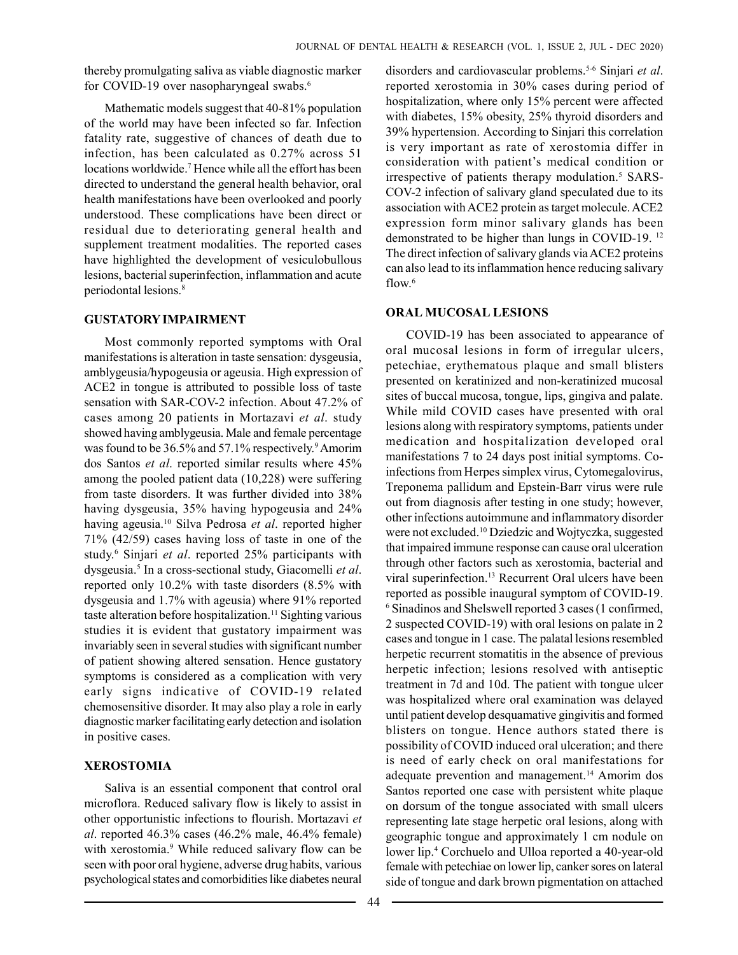thereby promulgating saliva as viable diagnostic marker for COVID-19 over nasopharyngeal swabs.<sup>6</sup>

Mathematic models suggest that 40-81% population of the world may have been infected so far. Infection fatality rate, suggestive of chances of death due to infection, has been calculated as 0.27% across 51 locations worldwide.<sup>7</sup> Hence while all the effort has been directed to understand the general health behavior, oral health manifestations have been overlooked and poorly understood. These complications have been direct or residual due to deteriorating general health and supplement treatment modalities. The reported cases have highlighted the development of vesiculobullous lesions, bacterial superinfection, inflammation and acute periodontal lesions.<sup>8</sup>

## GUSTATORY IMPAIRMENT

Most commonly reported symptoms with Oral manifestations is alteration in taste sensation: dysgeusia, amblygeusia/hypogeusia or ageusia. High expression of ACE2 in tongue is attributed to possible loss of taste sensation with SAR-COV-2 infection. About 47.2% of cases among 20 patients in Mortazavi et al. study showed having amblygeusia. Male and female percentage was found to be 36.5% and 57.1% respectively.<sup>9</sup> Amorim dos Santos et al. reported similar results where 45% among the pooled patient data (10,228) were suffering from taste disorders. It was further divided into 38% having dysgeusia, 35% having hypogeusia and 24% having ageusia.<sup>10</sup> Silva Pedrosa et al. reported higher 71% (42/59) cases having loss of taste in one of the study.<sup>6</sup> Sinjari et al. reported 25% participants with dysgeusia.<sup>5</sup> In a cross-sectional study, Giacomelli et al. reported only 10.2% with taste disorders (8.5% with dysgeusia and 1.7% with ageusia) where 91% reported taste alteration before hospitalization.<sup>11</sup> Sighting various studies it is evident that gustatory impairment was invariably seen in several studies with significant number of patient showing altered sensation. Hence gustatory symptoms is considered as a complication with very early signs indicative of COVID-19 related chemosensitive disorder. It may also play a role in early diagnostic marker facilitating early detection and isolation in positive cases.

## XEROSTOMIA

Saliva is an essential component that control oral microflora. Reduced salivary flow is likely to assist in other opportunistic infections to flourish. Mortazavi et al. reported 46.3% cases (46.2% male, 46.4% female) with xerostomia.<sup>9</sup> While reduced salivary flow can be seen with poor oral hygiene, adverse drug habits, various psychological states and comorbidities like diabetes neural

disorders and cardiovascular problems.<sup>5-6</sup> Sinjari et al. reported xerostomia in 30% cases during period of hospitalization, where only 15% percent were affected with diabetes, 15% obesity, 25% thyroid disorders and 39% hypertension. According to Sinjari this correlation is very important as rate of xerostomia differ in consideration with patient's medical condition or irrespective of patients therapy modulation.<sup>5</sup> SARS-COV-2 infection of salivary gland speculated due to its association with ACE2 protein as target molecule. ACE2 expression form minor salivary glands has been demonstrated to be higher than lungs in COVID-19. <sup>12</sup> The direct infection of salivary glands via ACE2 proteins can also lead to its inflammation hence reducing salivary flow.<sup>6</sup>

## ORAL MUCOSAL LESIONS

COVID-19 has been associated to appearance of oral mucosal lesions in form of irregular ulcers, petechiae, erythematous plaque and small blisters presented on keratinized and non-keratinized mucosal sites of buccal mucosa, tongue, lips, gingiva and palate. While mild COVID cases have presented with oral lesions along with respiratory symptoms, patients under medication and hospitalization developed oral manifestations 7 to 24 days post initial symptoms. Coinfections from Herpes simplex virus, Cytomegalovirus, Treponema pallidum and Epstein-Barr virus were rule out from diagnosis after testing in one study; however, other infections autoimmune and inflammatory disorder were not excluded.<sup>10</sup> Dziedzic and Wojtyczka, suggested that impaired immune response can cause oral ulceration through other factors such as xerostomia, bacterial and viral superinfection.<sup>13</sup> Recurrent Oral ulcers have been reported as possible inaugural symptom of COVID-19. 6 Sinadinos and Shelswell reported 3 cases (1 confirmed, 2 suspected COVID-19) with oral lesions on palate in 2 cases and tongue in 1 case. The palatal lesions resembled herpetic recurrent stomatitis in the absence of previous herpetic infection; lesions resolved with antiseptic treatment in 7d and 10d. The patient with tongue ulcer was hospitalized where oral examination was delayed until patient develop desquamative gingivitis and formed blisters on tongue. Hence authors stated there is possibility of COVID induced oral ulceration; and there is need of early check on oral manifestations for adequate prevention and management.<sup>14</sup> Amorim dos Santos reported one case with persistent white plaque on dorsum of the tongue associated with small ulcers representing late stage herpetic oral lesions, along with geographic tongue and approximately 1 cm nodule on lower lip.<sup>4</sup> Corchuelo and Ulloa reported a 40-year-old female with petechiae on lower lip, canker sores on lateral side of tongue and dark brown pigmentation on attached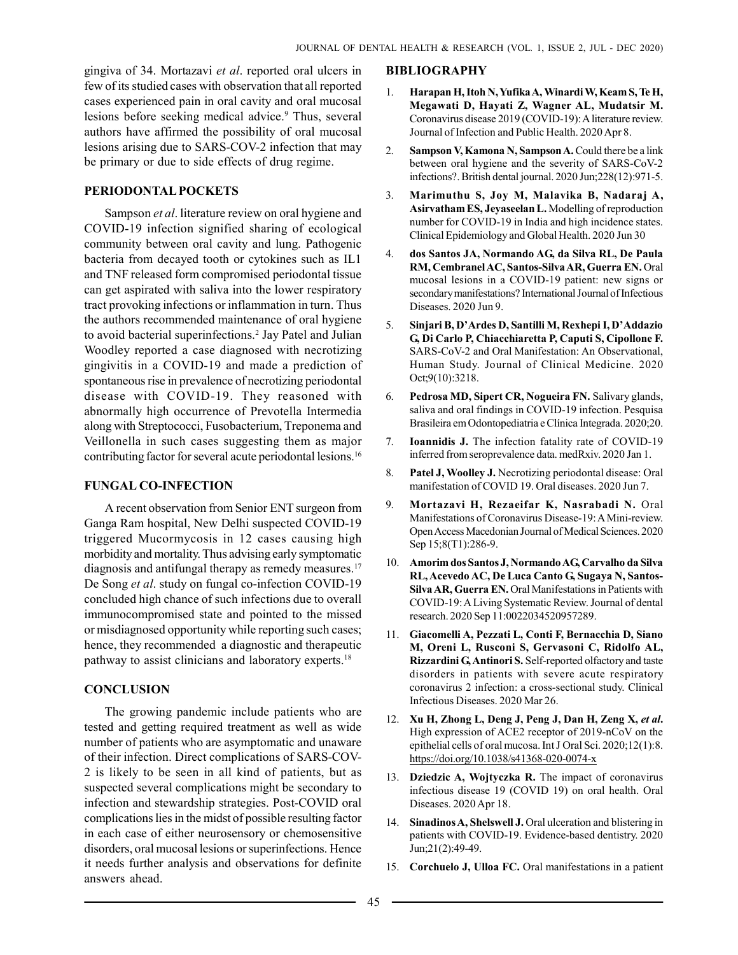gingiva of 34. Mortazavi et al. reported oral ulcers in few of its studied cases with observation that all reported cases experienced pain in oral cavity and oral mucosal lesions before seeking medical advice.<sup>9</sup> Thus, several authors have affirmed the possibility of oral mucosal lesions arising due to SARS-COV-2 infection that may be primary or due to side effects of drug regime.

#### PERIODONTAL POCKETS

Sampson et al. literature review on oral hygiene and COVID-19 infection signified sharing of ecological community between oral cavity and lung. Pathogenic bacteria from decayed tooth or cytokines such as IL1 and TNF released form compromised periodontal tissue can get aspirated with saliva into the lower respiratory tract provoking infections or inflammation in turn. Thus the authors recommended maintenance of oral hygiene to avoid bacterial superinfections.<sup>2</sup> Jay Patel and Julian Woodley reported a case diagnosed with necrotizing gingivitis in a COVID-19 and made a prediction of spontaneous rise in prevalence of necrotizing periodontal disease with COVID-19. They reasoned with abnormally high occurrence of Prevotella Intermedia along with Streptococci, Fusobacterium, Treponema and Veillonella in such cases suggesting them as major contributing factor for several acute periodontal lesions.<sup>16</sup>

#### FUNGAL CO-INFECTION

A recent observation from Senior ENT surgeon from Ganga Ram hospital, New Delhi suspected COVID-19 triggered Mucormycosis in 12 cases causing high morbidity and mortality. Thus advising early symptomatic diagnosis and antifungal therapy as remedy measures.<sup>17</sup> De Song et al. study on fungal co-infection COVID-19 concluded high chance of such infections due to overall immunocompromised state and pointed to the missed or misdiagnosed opportunity while reporting such cases; hence, they recommended a diagnostic and therapeutic pathway to assist clinicians and laboratory experts.<sup>18</sup>

## **CONCLUSION**

The growing pandemic include patients who are tested and getting required treatment as well as wide number of patients who are asymptomatic and unaware of their infection. Direct complications of SARS-COV-2 is likely to be seen in all kind of patients, but as suspected several complications might be secondary to infection and stewardship strategies. Post-COVID oral complications lies in the midst of possible resulting factor in each case of either neurosensory or chemosensitive disorders, oral mucosal lesions or superinfections. Hence it needs further analysis and observations for definite answers ahead.

#### BIBLIOGRAPHY

- 1. Harapan H, Itoh N, Yufika A, Winardi W, Keam S, Te H, Megawati D, Hayati Z, Wagner AL, Mudatsir M. Coronavirus disease 2019 (COVID-19): A literature review. Journal of Infection and Public Health. 2020 Apr 8.
- 2. Sampson V, Kamona N, Sampson A. Could there be a link between oral hygiene and the severity of SARS-CoV-2 infections?. British dental journal. 2020 Jun;228(12):971-5.
- 3. Marimuthu S, Joy M, Malavika B, Nadaraj A, Asirvatham ES, Jeyaseelan L. Modelling of reproduction number for COVID-19 in India and high incidence states. Clinical Epidemiology and Global Health. 2020 Jun 30
- 4. dos Santos JA, Normando AG, da Silva RL, De Paula RM, Cembranel AC, Santos-Silva AR, Guerra EN. Oral mucosal lesions in a COVID-19 patient: new signs or secondary manifestations? International Journal of Infectious Diseases. 2020 Jun 9.
- 5. Sinjari B, D'Ardes D, Santilli M, Rexhepi I, D'Addazio G, Di Carlo P, Chiacchiaretta P, Caputi S, Cipollone F. SARS-CoV-2 and Oral Manifestation: An Observational, Human Study. Journal of Clinical Medicine. 2020 Oct;9(10):3218.
- 6. Pedrosa MD, Sipert CR, Nogueira FN. Salivary glands, saliva and oral findings in COVID-19 infection. Pesquisa Brasileira em Odontopediatria e Clínica Integrada. 2020;20.
- 7. Ioannidis J. The infection fatality rate of COVID-19 inferred from seroprevalence data. medRxiv. 2020 Jan 1.
- 8. Patel J, Woolley J. Necrotizing periodontal disease: Oral manifestation of COVID 19. Oral diseases. 2020 Jun 7.
- 9. Mortazavi H, Rezaeifar K, Nasrabadi N. Oral Manifestations of Coronavirus Disease-19: A Mini-review. Open Access Macedonian Journal of Medical Sciences. 2020 Sep 15;8(T1):286-9.
- 10. Amorim dos Santos J, Normando AG, Carvalho da Silva RL, Acevedo AC, De Luca Canto G, Sugaya N, Santos-Silva AR, Guerra EN. Oral Manifestations in Patients with COVID-19: A Living Systematic Review. Journal of dental research. 2020 Sep 11:0022034520957289.
- 11. Giacomelli A, Pezzati L, Conti F, Bernacchia D, Siano M, Oreni L, Rusconi S, Gervasoni C, Ridolfo AL, Rizzardini G, Antinori S. Self-reported olfactory and taste disorders in patients with severe acute respiratory coronavirus 2 infection: a cross-sectional study. Clinical Infectious Diseases. 2020 Mar 26.
- 12. Xu H, Zhong L, Deng J, Peng J, Dan H, Zeng X, et al. High expression of ACE2 receptor of 2019-nCoV on the epithelial cells of oral mucosa. Int J Oral Sci. 2020;12(1):8. https://doi.org/10.1038/s41368-020-0074-x
- 13. Dziedzic A, Wojtyczka R. The impact of coronavirus infectious disease 19 (COVID 19) on oral health. Oral Diseases. 2020 Apr 18.
- 14. Sinadinos A, Shelswell J. Oral ulceration and blistering in patients with COVID-19. Evidence-based dentistry. 2020 Jun;21(2):49-49.
- 15. Corchuelo J, Ulloa FC. Oral manifestations in a patient